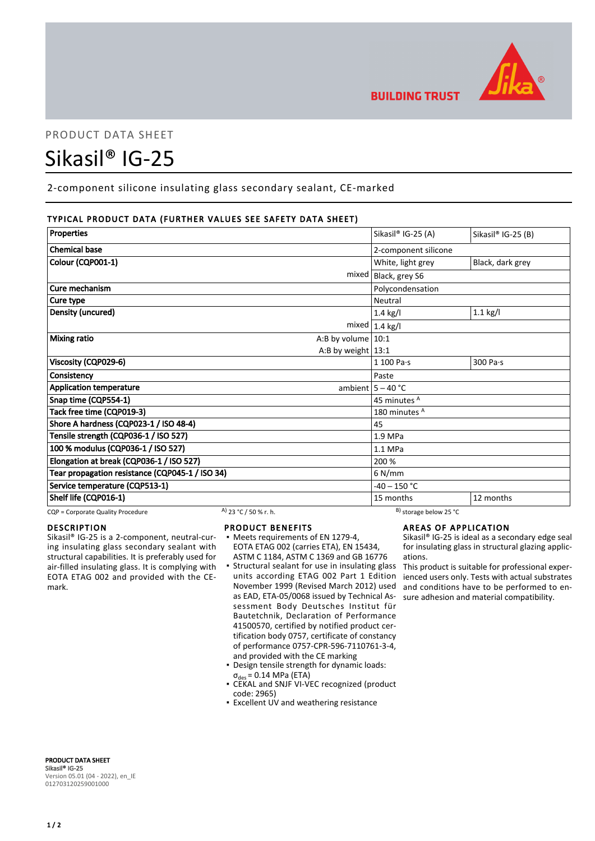

# PRODUCT DATA SHEET

# Sikasil® IG-25

2-component silicone insulating glass secondary sealant, CE-marked

# TYPICAL PRODUCT DATA (FURTHER VALUES SEE SAFETY DATA SHEET)

| Properties                                      | Sikasil® IG-25 (A)   | Sikasil® IG-25 (B) |
|-------------------------------------------------|----------------------|--------------------|
| <b>Chemical base</b>                            | 2-component silicone |                    |
| Colour (CQP001-1)                               | White, light grey    | Black, dark grey   |
| mixed                                           | Black, grey S6       |                    |
| Cure mechanism                                  | Polycondensation     |                    |
| Cure type                                       | Neutral              |                    |
| Density (uncured)                               | $1.4$ kg/l           | $1.1$ kg/l         |
| mixed                                           | $1.4$ kg/l           |                    |
| <b>Mixing ratio</b><br>A:B by volume $10:1$     |                      |                    |
| A:B by weight $13:1$                            |                      |                    |
| Viscosity (CQP029-6)                            | $1100$ Pa $\cdot$ s  | 300 Pa·s           |
| Consistency                                     | Paste                |                    |
| <b>Application temperature</b>                  | ambient $5 - 40$ °C  |                    |
| Snap time (CQP554-1)                            | 45 minutes A         |                    |
| Tack free time (CQP019-3)                       | 180 minutes A        |                    |
| Shore A hardness (CQP023-1 / ISO 48-4)          | 45                   |                    |
| Tensile strength (CQP036-1 / ISO 527)           | $1.9$ MPa            |                    |
| 100 % modulus (CQP036-1 / ISO 527)              | 1.1 MPa              |                    |
| Elongation at break (CQP036-1 / ISO 527)        | 200 %                |                    |
| Tear propagation resistance (CQP045-1 / ISO 34) | $6$ N/mm             |                    |
| Service temperature (CQP513-1)                  | $-40 - 150$ °C       |                    |
| Shelf life (CQP016-1)                           | 15 months            | 12 months          |

CQP = Corporate Quality Procedure A) 23 °C / 50 % r. h. B) storage below 25 °C

## DESCRIPTION

Sikasil® IG-25 is a 2-component, neutral-curing insulating glass secondary sealant with structural capabilities. It is preferably used for air-filled insulating glass. It is complying with EOTA ETAG 002 and provided with the CEmark.

## PRODUCT BENEFITS

- Meets requirements of EN 1279-4, EOTA ETAG 002 (carries ETA), EN 15434, ASTM C 1184, ASTM C 1369 and GB 16776
- **Structural sealant for use in insulating glass** units according ETAG 002 Part 1 Edition November 1999 (Revised March 2012) used as EAD, ETA-05/0068 issued by Technical Assessment Body Deutsches Institut für Bautetchnik, Declaration of Performance 41500570, certified by notified product certification body 0757, certificate of constancy of performance 0757-CPR-596-7110761-3-4, and provided with the CE marking
- Design tensile strength for dynamic loads:  $\sigma_{des}$  = 0.14 MPa (ETA)
- CEKAL and SNJF VI-VEC recognized (product code: 2965)
- **Excellent UV and weathering resistance**

# AREAS OF APPLICATION

Sikasil® IG-25 is ideal as a secondary edge seal for insulating glass in structural glazing applications.

This product is suitable for professional experienced users only. Tests with actual substrates and conditions have to be performed to ensure adhesion and material compatibility.

PRODUCT DATA SHEET Sikasil® IG-25 Version 05.01 (04 - 2022), en\_IE 012703120259001000